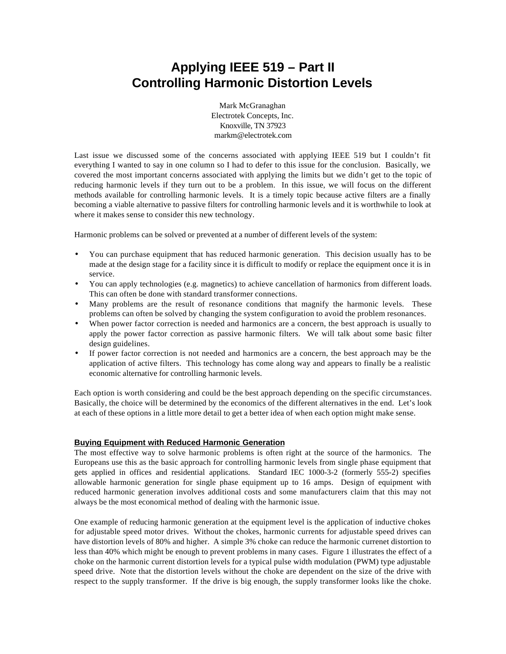# **Applying IEEE 519 – Part II Controlling Harmonic Distortion Levels**

Mark McGranaghan Electrotek Concepts, Inc. Knoxville, TN 37923 markm@electrotek.com

Last issue we discussed some of the concerns associated with applying IEEE 519 but I couldn't fit everything I wanted to say in one column so I had to defer to this issue for the conclusion. Basically, we covered the most important concerns associated with applying the limits but we didn't get to the topic of reducing harmonic levels if they turn out to be a problem. In this issue, we will focus on the different methods available for controlling harmonic levels. It is a timely topic because active filters are a finally becoming a viable alternative to passive filters for controlling harmonic levels and it is worthwhile to look at where it makes sense to consider this new technology.

Harmonic problems can be solved or prevented at a number of different levels of the system:

- You can purchase equipment that has reduced harmonic generation. This decision usually has to be made at the design stage for a facility since it is difficult to modify or replace the equipment once it is in service.
- You can apply technologies (e.g. magnetics) to achieve cancellation of harmonics from different loads. This can often be done with standard transformer connections.
- Many problems are the result of resonance conditions that magnify the harmonic levels. These problems can often be solved by changing the system configuration to avoid the problem resonances.
- When power factor correction is needed and harmonics are a concern, the best approach is usually to apply the power factor correction as passive harmonic filters. We will talk about some basic filter design guidelines.
- If power factor correction is not needed and harmonics are a concern, the best approach may be the application of active filters. This technology has come along way and appears to finally be a realistic economic alternative for controlling harmonic levels.

Each option is worth considering and could be the best approach depending on the specific circumstances. Basically, the choice will be determined by the economics of the different alternatives in the end. Let's look at each of these options in a little more detail to get a better idea of when each option might make sense.

# **Buying Equipment with Reduced Harmonic Generation**

The most effective way to solve harmonic problems is often right at the source of the harmonics. The Europeans use this as the basic approach for controlling harmonic levels from single phase equipment that gets applied in offices and residential applications. Standard IEC 1000-3-2 (formerly 555-2) specifies allowable harmonic generation for single phase equipment up to 16 amps. Design of equipment with reduced harmonic generation involves additional costs and some manufacturers claim that this may not always be the most economical method of dealing with the harmonic issue.

One example of reducing harmonic generation at the equipment level is the application of inductive chokes for adjustable speed motor drives. Without the chokes, harmonic currents for adjustable speed drives can have distortion levels of 80% and higher. A simple 3% choke can reduce the harmonic currenet distortion to less than 40% which might be enough to prevent problems in many cases. Figure 1 illustrates the effect of a choke on the harmonic current distortion levels for a typical pulse width modulation (PWM) type adjustable speed drive. Note that the distortion levels without the choke are dependent on the size of the drive with respect to the supply transformer. If the drive is big enough, the supply transformer looks like the choke.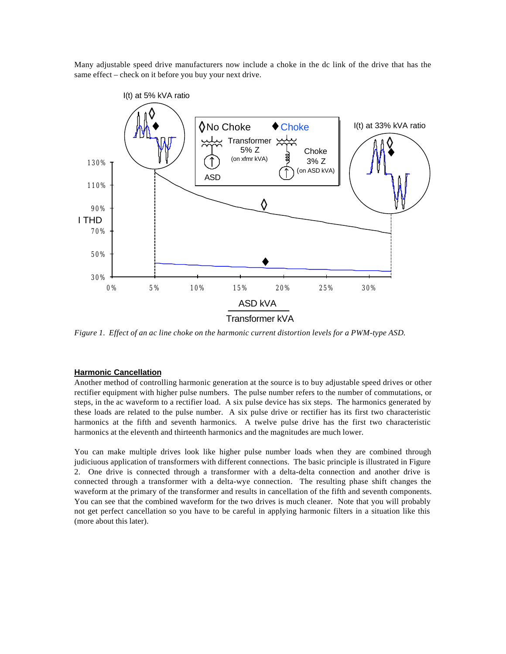Many adjustable speed drive manufacturers now include a choke in the dc link of the drive that has the same effect – check on it before you buy your next drive.



*Figure 1. Effect of an ac line choke on the harmonic current distortion levels for a PWM-type ASD.*

#### **Harmonic Cancellation**

Another method of controlling harmonic generation at the source is to buy adjustable speed drives or other rectifier equipment with higher pulse numbers. The pulse number refers to the number of commutations, or steps, in the ac waveform to a rectifier load. A six pulse device has six steps. The harmonics generated by these loads are related to the pulse number. A six pulse drive or rectifier has its first two characteristic harmonics at the fifth and seventh harmonics. A twelve pulse drive has the first two characteristic harmonics at the eleventh and thirteenth harmonics and the magnitudes are much lower.

You can make multiple drives look like higher pulse number loads when they are combined through judiciuous application of transformers with different connections. The basic principle is illustrated in Figure 2. One drive is connected through a transformer with a delta-delta connection and another drive is connected through a transformer with a delta-wye connection. The resulting phase shift changes the waveform at the primary of the transformer and results in cancellation of the fifth and seventh components. You can see that the combined waveform for the two drives is much cleaner. Note that you will probably not get perfect cancellation so you have to be careful in applying harmonic filters in a situation like this (more about this later).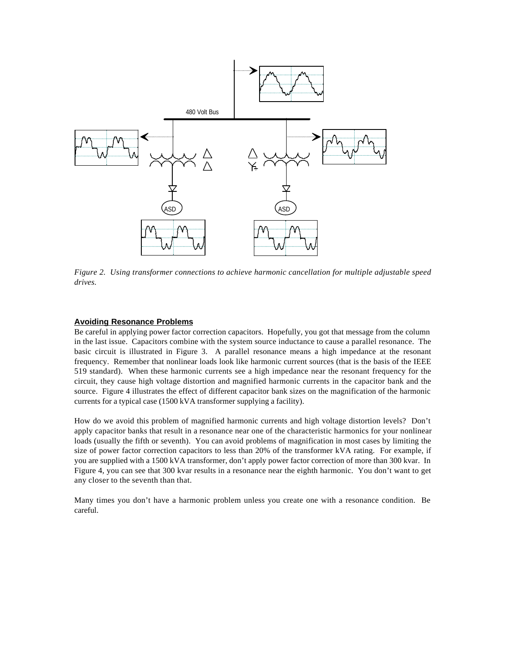

*Figure 2. Using transformer connections to achieve harmonic cancellation for multiple adjustable speed drives.*

### **Avoiding Resonance Problems**

Be careful in applying power factor correction capacitors. Hopefully, you got that message from the column in the last issue. Capacitors combine with the system source inductance to cause a parallel resonance. The basic circuit is illustrated in Figure 3. A parallel resonance means a high impedance at the resonant frequency. Remember that nonlinear loads look like harmonic current sources (that is the basis of the IEEE 519 standard). When these harmonic currents see a high impedance near the resonant frequency for the circuit, they cause high voltage distortion and magnified harmonic currents in the capacitor bank and the source. Figure 4 illustrates the effect of different capacitor bank sizes on the magnification of the harmonic currents for a typical case (1500 kVA transformer supplying a facility).

How do we avoid this problem of magnified harmonic currents and high voltage distortion levels? Don't apply capacitor banks that result in a resonance near one of the characteristic harmonics for your nonlinear loads (usually the fifth or seventh). You can avoid problems of magnification in most cases by limiting the size of power factor correction capacitors to less than 20% of the transformer kVA rating. For example, if you are supplied with a 1500 kVA transformer, don't apply power factor correction of more than 300 kvar. In Figure 4, you can see that 300 kvar results in a resonance near the eighth harmonic. You don't want to get any closer to the seventh than that.

Many times you don't have a harmonic problem unless you create one with a resonance condition. Be careful.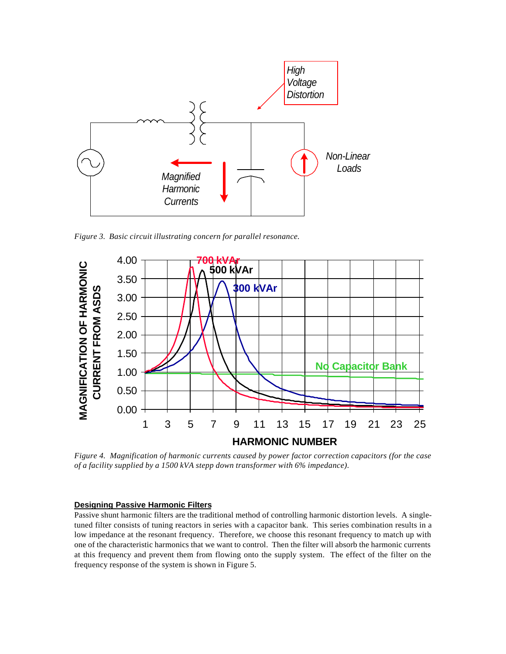

*Figure 3. Basic circuit illustrating concern for parallel resonance.*



*Figure 4. Magnification of harmonic currents caused by power factor correction capacitors (for the case of a facility supplied by a 1500 kVA stepp down transformer with 6% impedance).*

#### **Designing Passive Harmonic Filters**

Passive shunt harmonic filters are the traditional method of controlling harmonic distortion levels. A singletuned filter consists of tuning reactors in series with a capacitor bank. This series combination results in a low impedance at the resonant frequency. Therefore, we choose this resonant frequency to match up with one of the characteristic harmonics that we want to control. Then the filter will absorb the harmonic currents at this frequency and prevent them from flowing onto the supply system. The effect of the filter on the frequency response of the system is shown in Figure 5.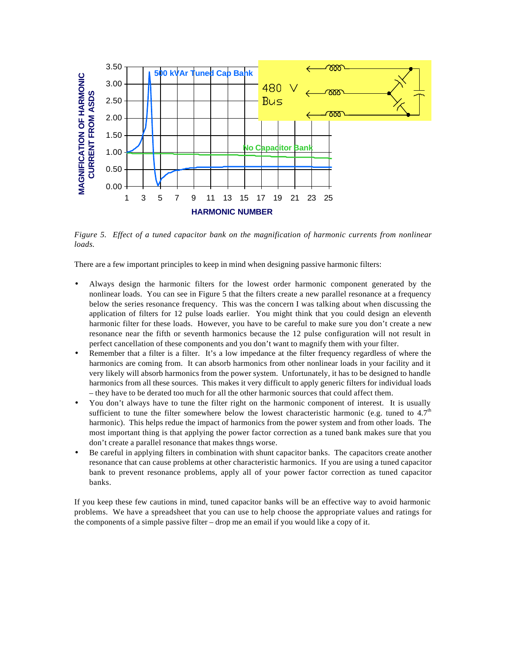

*Figure 5. Effect of a tuned capacitor bank on the magnification of harmonic currents from nonlinear loads.*

There are a few important principles to keep in mind when designing passive harmonic filters:

- Always design the harmonic filters for the lowest order harmonic component generated by the nonlinear loads. You can see in Figure 5 that the filters create a new parallel resonance at a frequency below the series resonance frequency. This was the concern I was talking about when discussing the application of filters for 12 pulse loads earlier. You might think that you could design an eleventh harmonic filter for these loads. However, you have to be careful to make sure you don't create a new resonance near the fifth or seventh harmonics because the 12 pulse configuration will not result in perfect cancellation of these components and you don't want to magnify them with your filter.
- Remember that a filter is a filter. It's a low impedance at the filter frequency regardless of where the harmonics are coming from. It can absorb harmonics from other nonlinear loads in your facility and it very likely will absorb harmonics from the power system. Unfortunately, it has to be designed to handle harmonics from all these sources. This makes it very difficult to apply generic filters for individual loads – they have to be derated too much for all the other harmonic sources that could affect them.
- You don't always have to tune the filter right on the harmonic component of interest. It is usually sufficient to tune the filter somewhere below the lowest characteristic harmonic (e.g. tuned to  $4.7<sup>th</sup>$ harmonic). This helps redue the impact of harmonics from the power system and from other loads. The most important thing is that applying the power factor correction as a tuned bank makes sure that you don't create a parallel resonance that makes thngs worse.
- Be careful in applying filters in combination with shunt capacitor banks. The capacitors create another resonance that can cause problems at other characteristic harmonics. If you are using a tuned capacitor bank to prevent resonance problems, apply all of your power factor correction as tuned capacitor banks.

If you keep these few cautions in mind, tuned capacitor banks will be an effective way to avoid harmonic problems. We have a spreadsheet that you can use to help choose the appropriate values and ratings for the components of a simple passive filter – drop me an email if you would like a copy of it.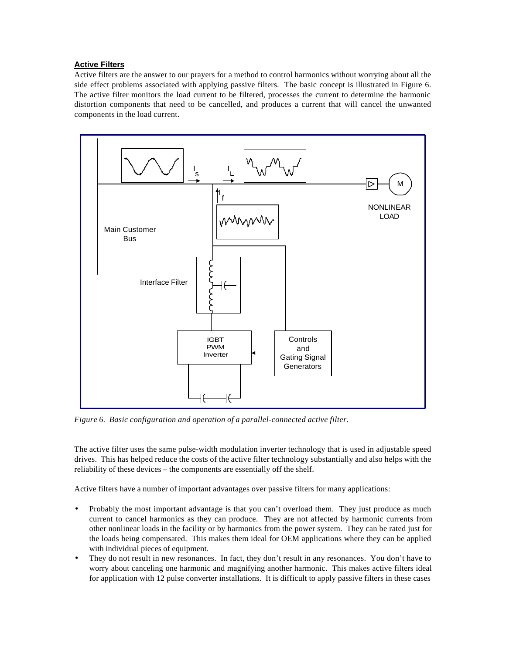# **Active Filters**

Active filters are the answer to our prayers for a method to control harmonics without worrying about all the side effect problems associated with applying passive filters. The basic concept is illustrated in Figure 6. The active filter monitors the load current to be filtered, processes the current to determine the harmonic distortion components that need to be cancelled, and produces a current that will cancel the unwanted components in the load current.



*Figure 6. Basic configuration and operation of a parallel-connected active filter.*

The active filter uses the same pulse-width modulation inverter technology that is used in adjustable speed drives. This has helped reduce the costs of the active filter technology substantially and also helps with the reliability of these devices – the components are essentially off the shelf.

Active filters have a number of important advantages over passive filters for many applications:

- Probably the most important advantage is that you can't overload them. They just produce as much current to cancel harmonics as they can produce. They are not affected by harmonic currents from other nonlinear loads in the facility or by harmonics from the power system. They can be rated just for the loads being compensated. This makes them ideal for OEM applications where they can be applied with individual pieces of equipment.
- They do not result in new resonances. In fact, they don't result in any resonances. You don't have to worry about canceling one harmonic and magnifying another harmonic. This makes active filters ideal for application with 12 pulse converter installations. It is difficult to apply passive filters in these cases